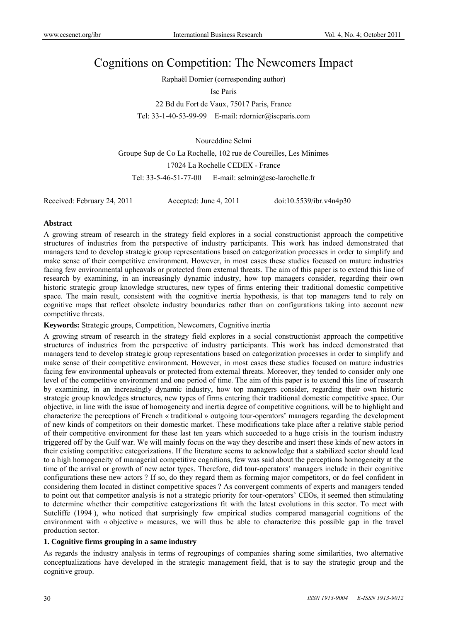# Cognitions on Competition: The Newcomers Impact

Raphaël Dornier (corresponding author)

## Isc Paris

22 Bd du Fort de Vaux, 75017 Paris, France Tel: 33-1-40-53-99-99 E-mail: rdornier@iscparis.com

Noureddine Selmi

Groupe Sup de Co La Rochelle, 102 rue de Coureilles, Les Minimes

17024 La Rochelle CEDEX - France

Tel: 33-5-46-51-77-00 E-mail: selmin@esc-larochelle.fr

Received: February 24, 2011 Accepted: June 4, 2011 doi:10.5539/ibr.v4n4p30

#### **Abstract**

A growing stream of research in the strategy field explores in a social constructionist approach the competitive structures of industries from the perspective of industry participants. This work has indeed demonstrated that managers tend to develop strategic group representations based on categorization processes in order to simplify and make sense of their competitive environment. However, in most cases these studies focused on mature industries facing few environmental upheavals or protected from external threats. The aim of this paper is to extend this line of research by examining, in an increasingly dynamic industry, how top managers consider, regarding their own historic strategic group knowledge structures, new types of firms entering their traditional domestic competitive space. The main result, consistent with the cognitive inertia hypothesis, is that top managers tend to rely on cognitive maps that reflect obsolete industry boundaries rather than on configurations taking into account new competitive threats.

**Keywords:** Strategic groups, Competition, Newcomers, Cognitive inertia

A growing stream of research in the strategy field explores in a social constructionist approach the competitive structures of industries from the perspective of industry participants. This work has indeed demonstrated that managers tend to develop strategic group representations based on categorization processes in order to simplify and make sense of their competitive environment. However, in most cases these studies focused on mature industries facing few environmental upheavals or protected from external threats. Moreover, they tended to consider only one level of the competitive environment and one period of time. The aim of this paper is to extend this line of research by examining, in an increasingly dynamic industry, how top managers consider, regarding their own historic strategic group knowledges structures, new types of firms entering their traditional domestic competitive space. Our objective, in line with the issue of homogeneity and inertia degree of competitive cognitions, will be to highlight and characterize the perceptions of French « traditional » outgoing tour-operators' managers regarding the development of new kinds of competitors on their domestic market. These modifications take place after a relative stable period of their competitive environment for these last ten years which succeeded to a huge crisis in the tourism industry triggered off by the Gulf war. We will mainly focus on the way they describe and insert these kinds of new actors in their existing competitive categorizations. If the literature seems to acknowledge that a stabilized sector should lead to a high homogeneity of managerial competitive cognitions, few was said about the perceptions homogeneity at the time of the arrival or growth of new actor types. Therefore, did tour-operators' managers include in their cognitive configurations these new actors ? If so, do they regard them as forming major competitors, or do feel confident in considering them located in distinct competitive spaces ? As convergent comments of experts and managers tended to point out that competitor analysis is not a strategic priority for tour-operators' CEOs, it seemed then stimulating to determine whether their competitive categorizations fit with the latest evolutions in this sector. To meet with Sutcliffe (1994 ), who noticed that surprisingly few empirical studies compared managerial cognitions of the environment with « objective » measures, we will thus be able to characterize this possible gap in the travel production sector.

## **1. Cognitive firms grouping in a same industry**

As regards the industry analysis in terms of regroupings of companies sharing some similarities, two alternative conceptualizations have developed in the strategic management field, that is to say the strategic group and the cognitive group.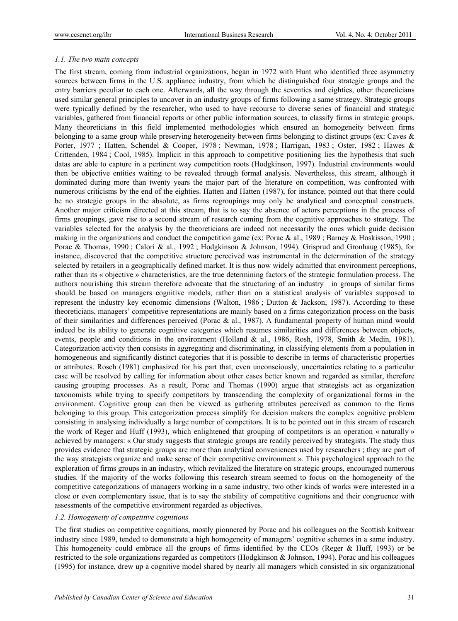# *1.1. The two main concepts*

The first stream, coming from industrial organizations, began in 1972 with Hunt who identified three asymmetry sources between firms in the U.S. appliance industry, from which he distinguished four strategic groups and the entry barriers peculiar to each one. Afterwards, all the way through the seventies and eighties, other theoreticians used similar general principles to uncover in an industry groups of firms following a same strategy. Strategic groups were typically defined by the researcher, who used to have recourse to diverse series of financial and strategic variables, gathered from financial reports or other public information sources, to classify firms in strategic groups. Many theoreticians in this field implemented methodologies which ensured an homogeneity between firms belonging to a same group while preserving heterogeneity between firms belonging to distinct groups (ex: Caves & Porter, 1977 ; Hatten, Schendel & Cooper, 1978 ; Newman, 1978 ; Harrigan, 1983 ; Oster, 1982 ; Hawes & Crittenden, 1984 ; Cool, 1985). Implicit in this approach to competitive positioning lies the hypothesis that such datas are able to capture in a pertinent way competition roots (Hodgkinson, 1997). Industrial environments would then be objective entities waiting to be revealed through formal analysis. Nevertheless, this stream, although it dominated during more than twenty years the major part of the literature on competition, was confronted with numerous criticisms by the end of the eighties. Hatten and Hatten (1987), for instance, pointed out that there could be no strategic groups in the absolute, as firms regroupings may only be analytical and conceptual constructs. Another major criticism directed at this stream, that is to say the absence of actors perceptions in the process of firms groupings, gave rise to a second stream of research coming from the cognitive approaches to strategy. The variables selected for the analysis by the theoreticians are indeed not necessarily the ones which guide decision making in the organizations and conduct the competition game (ex: Porac & al., 1989 ; Barney & Hoskisson, 1990 ; Porac & Thomas, 1990 ; Calori & al., 1992 ; Hodgkinson & Johnson, 1994). Grisprud and Gronhaug (1985), for instance, discovered that the competitive structure perceived was instrumental in the determination of the strategy selected by retailers in a geographically defined market. It is thus now widely admitted that environment perceptions, rather than its « objective » characteristics, are the true determining factors of the strategic formulation process. The authors nourishing this stream therefore advocate that the structuring of an industry in groups of similar firms should be based on managers cognitive models, rather than on a statistical analysis of variables supposed to represent the industry key economic dimensions (Walton, 1986 ; Dutton & Jackson, 1987). According to these theoreticians, managers' competitive representations are mainly based on a firms categorization process on the basis of their similarities and differences perceived (Porac & al., 1987). A fundamental property of human mind would indeed be its ability to generate cognitive categories which resumes similarities and differences between objects, events, people and conditions in the environment (Holland & al., 1986, Rosh, 1978, Smith & Medin, 1981). Categorization activity then consists in aggregating and discriminating, in classifying elements from a population in homogeneous and significantly distinct categories that it is possible to describe in terms of characteristic properties or attributes. Rosch (1981) emphasized for his part that, even unconsciously, uncertainties relating to a particular case will be resolved by calling for information about other cases better known and regarded as similar, therefore causing grouping processes. As a result, Porac and Thomas (1990) argue that strategists act as organization taxonomists while trying to specify competitors by transcending the complexity of organizational forms in the environment. Cognitive group can then be viewed as gathering attributes perceived as common to the firms belonging to this group. This categorization process simplify for decision makers the complex cognitive problem consisting in analysing individually a large number of competitors. It is to be pointed out in this stream of research the work of Reger and Huff (1993), which enlightened that grouping of competitors is an operation « naturally » achieved by managers: « Our study suggests that strategic groups are readily perceived by strategists. The study thus provides evidence that strategic groups are more than analytical conveniences used by researchers ; they are part of the way strategists organize and make sense of their competitive environment ». This psychological approach to the exploration of firms groups in an industry, which revitalized the literature on strategic groups, encouraged numerous studies. If the majority of the works following this research stream seemed to focus on the homogeneity of the competitive categorizations of managers working in a same industry, two other kinds of works were interested in a close or even complementary issue, that is to say the stability of competitive cognitions and their congruence with assessments of the competitive environment regarded as objectives.

## *1.2. Homogeneity of competitive cognitions*

The first studies on competitive cognitions, mostly pionnered by Porac and his colleagues on the Scottish knitwear industry since 1989, tended to demonstrate a high homogeneity of managers' cognitive schemes in a same industry. This homogeneity could embrace all the groups of firms identified by the CEOs (Reger & Huff, 1993) or be restricted to the sole organizations regarded as competitors (Hodgkinson & Johnson, 1994). Porac and his colleagues (1995) for instance, drew up a cognitive model shared by nearly all managers which consisted in six organizational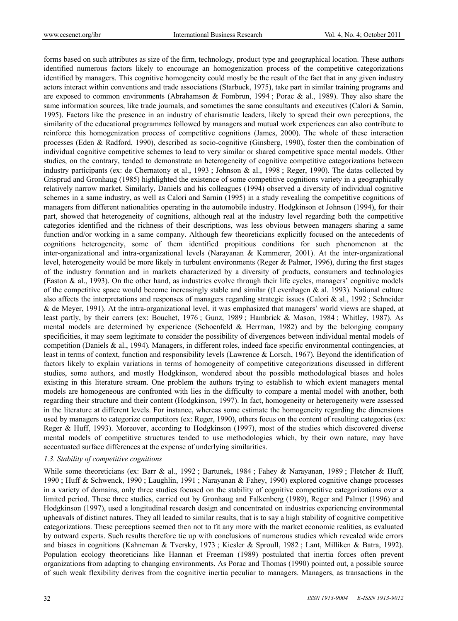forms based on such attributes as size of the firm, technology, product type and geographical location. These authors identified numerous factors likely to encourage an homogenization process of the competitive categorizations identified by managers. This cognitive homogeneity could mostly be the result of the fact that in any given industry actors interact within conventions and trade associations (Starbuck, 1975), take part in similar training programs and are exposed to common environments (Abrahamson & Fombrun, 1994 ; Porac & al., 1989). They also share the same information sources, like trade journals, and sometimes the same consultants and executives (Calori & Sarnin, 1995). Factors like the presence in an industry of charismatic leaders, likely to spread their own perceptions, the similarity of the educational programmes followed by managers and mutual work experiences can also contribute to reinforce this homogenization process of competitive cognitions (James, 2000). The whole of these interaction processes (Eden & Radford, 1990), described as socio-cognitive (Ginsberg, 1990), foster then the combination of individual cognitive competitive schemes to lead to very similar or shared competitive space mental models. Other studies, on the contrary, tended to demonstrate an heterogeneity of cognitive competitive categorizations between industry participants (ex: de Chernatony et al., 1993 ; Johnson & al., 1998 ; Reger, 1990). The datas collected by Grisprud and Gronhaug (1985) highlighted the existence of some competitive cognitions variety in a geographically relatively narrow market. Similarly, Daniels and his colleagues (1994) observed a diversity of individual cognitive schemes in a same industry, as well as Calori and Sarnin (1995) in a study revealing the competitive cognitions of managers from different nationalities operating in the automobile industry. Hodgkinson et Johnson (1994), for their part, showed that heterogeneity of cognitions, although real at the industry level regarding both the competitive categories identified and the richness of their descriptions, was less obvious between managers sharing a same function and/or working in a same company. Although few theoreticians explicitly focused on the antecedents of cognitions heterogeneity, some of them identified propitious conditions for such phenomenon at the inter-organizational and intra-organizational levels (Narayanan & Kemmerer, 2001). At the inter-organizational level, heterogeneity would be more likely in turbulent environments (Reger & Palmer, 1996), during the first stages of the industry formation and in markets characterized by a diversity of products, consumers and technologies (Easton & al., 1993). On the other hand, as industries evolve through their life cycles, managers' cognitive models of the competitive space would become increasingly stable and similar ((Levenhagen & al. 1993). National culture also affects the interpretations and responses of managers regarding strategic issues (Calori & al., 1992 ; Schneider & de Meyer, 1991). At the intra-organizational level, it was emphasized that managers' world views are shaped, at least partly, by their carrers (ex: Bouchet, 1976 ; Gunz, 1989 ; Hambrick & Mason, 1984 ; Whitley, 1987). As mental models are determined by experience (Schoenfeld & Herrman, 1982) and by the belonging company specificities, it may seem legitimate to consider the possibility of divergences between individual mental models of competition (Daniels & al., 1994). Managers, in different roles, indeed face specific environmental contingencies, at least in terms of context, function and responsibility levels (Lawrence & Lorsch, 1967). Beyond the identification of factors likely to explain variations in terms of homogeneity of competitive categorizations discussed in different studies, some authors, and mostly Hodgkinson, wondered about the possible methodological biases and holes existing in this literature stream. One problem the authors trying to establish to which extent managers mental models are homogeneous are confronted with lies in the difficulty to compare a mental model with another, both regarding their structure and their content (Hodgkinson, 1997). In fact, homogeneity or heterogeneity were assessed in the literature at different levels. For instance, whereas some estimate the homogeneity regarding the dimensions used by managers to categorize competitors (ex: Reger, 1990), others focus on the content of resulting categories (ex: Reger & Huff, 1993). Moreover, according to Hodgkinson (1997), most of the studies which discovered diverse mental models of competitive structures tended to use methodologies which, by their own nature, may have accentuated surface differences at the expense of underlying similarities.

#### *1.3. Stability of competitive cognitions*

While some theoreticians (ex: Barr & al., 1992; Bartunek, 1984; Fahey & Narayanan, 1989; Fletcher & Huff, 1990 ; Huff & Schwenck, 1990 ; Laughlin, 1991 ; Narayanan & Fahey, 1990) explored cognitive change processes in a variety of domains, only three studies focused on the stability of cognitive competitive categorizations over a limited period. These three studies, carried out by Gronhaug and Falkenberg (1989), Reger and Palmer (1996) and Hodgkinson (1997), used a longitudinal research design and concentrated on industries experiencing environmental upheavals of distinct natures. They all leaded to similar results, that is to say a high stability of cognitive competitive categorizations. These perceptions seemed then not to fit any more with the market economic realities, as evaluated by outward experts. Such results therefore tie up with conclusions of numerous studies which revealed wide errors and biases in cognitions (Kahneman & Tversky, 1973 ; Kiesler & Sproull, 1982 ; Lant, Milliken & Batra, 1992). Population ecology theoreticians like Hannan et Freeman (1989) postulated that inertia forces often prevent organizations from adapting to changing environments. As Porac and Thomas (1990) pointed out, a possible source of such weak flexibility derives from the cognitive inertia peculiar to managers. Managers, as transactions in the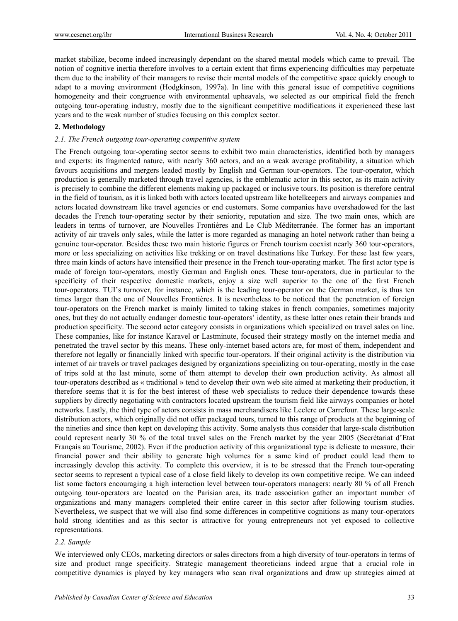market stabilize, become indeed increasingly dependant on the shared mental models which came to prevail. The notion of cognitive inertia therefore involves to a certain extent that firms experiencing difficulties may perpetuate them due to the inability of their managers to revise their mental models of the competitive space quickly enough to adapt to a moving environment (Hodgkinson, 1997a). In line with this general issue of competitive cognitions homogeneity and their congruence with environmental upheavals, we selected as our empirical field the french outgoing tour-operating industry, mostly due to the significant competitive modifications it experienced these last years and to the weak number of studies focusing on this complex sector.

## **2. Methodology**

## *2.1. The French outgoing tour-operating competitive system*

The French outgoing tour-operating sector seems to exhibit two main characteristics, identified both by managers and experts: its fragmented nature, with nearly 360 actors, and an a weak average profitability, a situation which favours acquisitions and mergers leaded mostly by English and German tour-operators. The tour-operator, which production is generally marketed through travel agencies, is the emblematic actor in this sector, as its main activity is precisely to combine the different elements making up packaged or inclusive tours. Its position is therefore central in the field of tourism, as it is linked both with actors located upstream like hotelkeepers and airways companies and actors located downstream like travel agencies or end customers. Some companies have overshadowed for the last decades the French tour-operating sector by their seniority, reputation and size. The two main ones, which are leaders in terms of turnover, are Nouvelles Frontières and Le Club Méditerranée. The former has an important activity of air travels only sales, while the latter is more regarded as managing an hotel network rather than being a genuine tour-operator. Besides these two main historic figures or French tourism coexist nearly 360 tour-operators, more or less specializing on activities like trekking or on travel destinations like Turkey. For these last few years, three main kinds of actors have intensified their presence in the French tour-operating market. The first actor type is made of foreign tour-operators, mostly German and English ones. These tour-operators, due in particular to the specificity of their respective domestic markets, enjoy a size well superior to the one of the first French tour-operators. TUI's turnover, for instance, which is the leading tour-operator on the German market, is thus ten times larger than the one of Nouvelles Frontières. It is nevertheless to be noticed that the penetration of foreign tour-operators on the French market is mainly limited to taking stakes in french companies, sometimes majority ones, but they do not actually endanger domestic tour-operators' identity, as these latter ones retain their brands and production specificity. The second actor category consists in organizations which specialized on travel sales on line. These companies, like for instance Karavel or Lastminute, focused their strategy mostly on the internet media and penetrated the travel sector by this means. These only-internet based actors are, for most of them, independent and therefore not legally or financially linked with specific tour-operators. If their original activity is the distribution via internet of air travels or travel packages designed by organizations specializing on tour-operating, mostly in the case of trips sold at the last minute, some of them attempt to develop their own production activity. As almost all tour-operators described as « traditional » tend to develop their own web site aimed at marketing their production, it therefore seems that it is for the best interest of these web specialists to reduce their dependence towards these suppliers by directly negotiating with contractors located upstream the tourism field like airways companies or hotel networks. Lastly, the third type of actors consists in mass merchandisers like Leclerc or Carrefour. These large-scale distribution actors, which originally did not offer packaged tours, turned to this range of products at the beginning of the nineties and since then kept on developing this activity. Some analysts thus consider that large-scale distribution could represent nearly 30 % of the total travel sales on the French market by the year 2005 (Secrétariat d'Etat Français au Tourisme, 2002). Even if the production activity of this organizational type is delicate to measure, their financial power and their ability to generate high volumes for a same kind of product could lead them to increasingly develop this activity. To complete this overview, it is to be stressed that the French tour-operating sector seems to represent a typical case of a close field likely to develop its own competitive recipe. We can indeed list some factors encouraging a high interaction level between tour-operators managers: nearly 80 % of all French outgoing tour-operators are located on the Parisian area, its trade association gather an important number of organizations and many managers completed their entire career in this sector after following tourism studies. Nevertheless, we suspect that we will also find some differences in competitive cognitions as many tour-operators hold strong identities and as this sector is attractive for young entrepreneurs not yet exposed to collective representations.

## *2.2. Sample*

We interviewed only CEOs, marketing directors or sales directors from a high diversity of tour-operators in terms of size and product range specificity. Strategic management theoreticians indeed argue that a crucial role in competitive dynamics is played by key managers who scan rival organizations and draw up strategies aimed at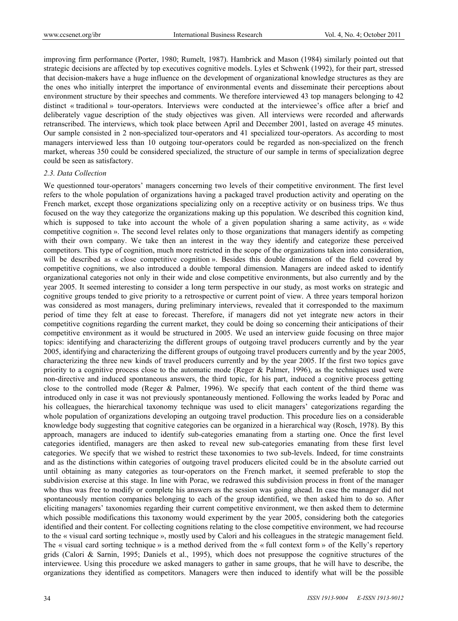improving firm performance (Porter, 1980; Rumelt, 1987). Hambrick and Mason (1984) similarly pointed out that strategic decisions are affected by top executives cognitive models. Lyles et Schwenk (1992), for their part, stressed that decision-makers have a huge influence on the development of organizational knowledge structures as they are the ones who initially interpret the importance of environmental events and disseminate their perceptions about environment structure by their speeches and comments. We therefore interviewed 43 top managers belonging to 42 distinct « traditional » tour-operators. Interviews were conducted at the interviewee's office after a brief and deliberately vague description of the study objectives was given. All interviews were recorded and afterwards retranscribed. The interviews, which took place between April and December 2001, lasted on average 45 minutes. Our sample consisted in 2 non-specialized tour-operators and 41 specialized tour-operators. As according to most managers interviewed less than 10 outgoing tour-operators could be regarded as non-specialized on the french market, whereas 350 could be considered specialized, the structure of our sample in terms of specialization degree could be seen as satisfactory.

#### *2.3. Data Collection*

We questionned tour-operators' managers concerning two levels of their competitive environment. The first level refers to the whole population of organizations having a packaged travel production activity and operating on the French market, except those organizations specializing only on a receptive activity or on business trips. We thus focused on the way they categorize the organizations making up this population. We described this cognition kind, which is supposed to take into account the whole of a given population sharing a same activity, as « wide competitive cognition ». The second level relates only to those organizations that managers identify as competing with their own company. We take then an interest in the way they identify and categorize these perceived competitors. This type of cognition, much more restricted in the scope of the organizations taken into consideration, will be described as « close competitive cognition ». Besides this double dimension of the field covered by competitive cognitions, we also introduced a double temporal dimension. Managers are indeed asked to identify organizational categories not only in their wide and close competitive environments, but also currently and by the year 2005. It seemed interesting to consider a long term perspective in our study, as most works on strategic and cognitive groups tended to give priority to a retrospective or current point of view. A three years temporal horizon was considered as most managers, during preliminary interviews, revealed that it corresponded to the maximum period of time they felt at ease to forecast. Therefore, if managers did not yet integrate new actors in their competitive cognitions regarding the current market, they could be doing so concerning their anticipations of their competitive environment as it would be structured in 2005. We used an interview guide focusing on three major topics: identifying and characterizing the different groups of outgoing travel producers currently and by the year 2005, identifying and characterizing the different groups of outgoing travel producers currently and by the year 2005, characterizing the three new kinds of travel producers currently and by the year 2005. If the first two topics gave priority to a cognitive process close to the automatic mode (Reger & Palmer, 1996), as the techniques used were non-directive and induced spontaneous answers, the third topic, for his part, induced a cognitive process getting close to the controlled mode (Reger & Palmer, 1996). We specify that each content of the third theme was introduced only in case it was not previously spontaneously mentioned. Following the works leaded by Porac and his colleagues, the hierarchical taxonomy technique was used to elicit managers' categorizations regarding the whole population of organizations developing an outgoing travel production. This procedure lies on a considerable knowledge body suggesting that cognitive categories can be organized in a hierarchical way (Rosch, 1978). By this approach, managers are induced to identify sub-categories emanating from a starting one. Once the first level categories identified, managers are then asked to reveal new sub-categories emanating from these first level categories. We specify that we wished to restrict these taxonomies to two sub-levels. Indeed, for time constraints and as the distinctions within categories of outgoing travel producers elicited could be in the absolute carried out until obtaining as many categories as tour-operators on the French market, it seemed preferable to stop the subdivision exercise at this stage. In line with Porac, we redrawed this subdivision process in front of the manager who thus was free to modify or complete his answers as the session was going ahead. In case the manager did not spontaneously mention companies belonging to each of the group identified, we then asked him to do so. After eliciting managers' taxonomies regarding their current competitive environment, we then asked them to determine which possible modifications this taxonomy would experiment by the year 2005, considering both the categories identified and their content. For collecting cognitions relating to the close competitive environment, we had recourse to the « visual card sorting technique », mostly used by Calori and his colleagues in the strategic management field. The « visual card sorting technique » is a method derived from the « full context form » of the Kelly's repertory grids (Calori & Sarnin, 1995; Daniels et al., 1995), which does not presuppose the cognitive structures of the interviewee. Using this procedure we asked managers to gather in same groups, that he will have to describe, the organizations they identified as competitors. Managers were then induced to identify what will be the possible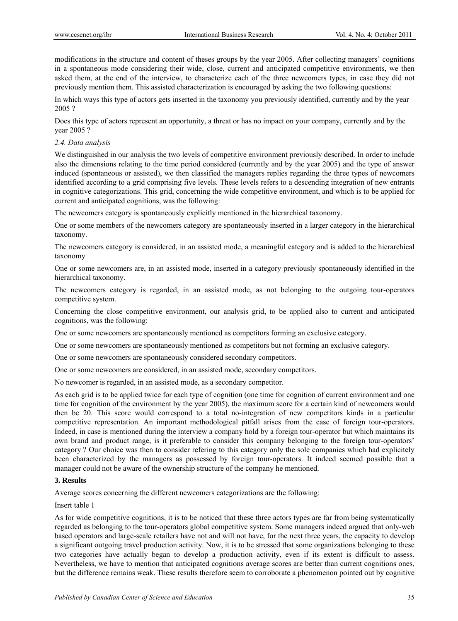modifications in the structure and content of theses groups by the year 2005. After collecting managers' cognitions in a spontaneous mode considering their wide, close, current and anticipated competitive environments, we then asked them, at the end of the interview, to characterize each of the three newcomers types, in case they did not previously mention them. This assisted characterization is encouraged by asking the two following questions:

In which ways this type of actors gets inserted in the taxonomy you previously identified, currently and by the year 2005 ?

Does this type of actors represent an opportunity, a threat or has no impact on your company, currently and by the year 2005 ?

## *2.4. Data analysis*

We distinguished in our analysis the two levels of competitive environment previously described. In order to include also the dimensions relating to the time period considered (currently and by the year 2005) and the type of answer induced (spontaneous or assisted), we then classified the managers replies regarding the three types of newcomers identified according to a grid comprising five levels. These levels refers to a descending integration of new entrants in cognitive categorizations. This grid, concerning the wide competitive environment, and which is to be applied for current and anticipated cognitions, was the following:

The newcomers category is spontaneously explicitly mentioned in the hierarchical taxonomy.

One or some members of the newcomers category are spontaneously inserted in a larger category in the hierarchical taxonomy.

The newcomers category is considered, in an assisted mode, a meaningful category and is added to the hierarchical taxonomy

One or some newcomers are, in an assisted mode, inserted in a category previously spontaneously identified in the hierarchical taxonomy.

The newcomers category is regarded, in an assisted mode, as not belonging to the outgoing tour-operators competitive system.

Concerning the close competitive environment, our analysis grid, to be applied also to current and anticipated cognitions, was the following:

One or some newcomers are spontaneously mentioned as competitors forming an exclusive category.

One or some newcomers are spontaneously mentioned as competitors but not forming an exclusive category.

One or some newcomers are spontaneously considered secondary competitors.

One or some newcomers are considered, in an assisted mode, secondary competitors.

No newcomer is regarded, in an assisted mode, as a secondary competitor.

As each grid is to be applied twice for each type of cognition (one time for cognition of current environment and one time for cognition of the environment by the year 2005), the maximum score for a certain kind of newcomers would then be 20. This score would correspond to a total no-integration of new competitors kinds in a particular competitive representation. An important methodological pitfall arises from the case of foreign tour-operators. Indeed, in case is mentioned during the interview a company hold by a foreign tour-operator but which maintains its own brand and product range, is it preferable to consider this company belonging to the foreign tour-operators' category ? Our choice was then to consider refering to this category only the sole companies which had explicitely been characterized by the managers as possessed by foreign tour-operators. It indeed seemed possible that a manager could not be aware of the ownership structure of the company he mentioned.

## **3. Results**

Average scores concerning the different newcomers categorizations are the following:

#### Insert table 1

As for wide competitive cognitions, it is to be noticed that these three actors types are far from being systematically regarded as belonging to the tour-operators global competitive system. Some managers indeed argued that only-web based operators and large-scale retailers have not and will not have, for the next three years, the capacity to develop a significant outgoing travel production activity. Now, it is to be stressed that some organizations belonging to these two categories have actually began to develop a production activity, even if its extent is difficult to assess. Nevertheless, we have to mention that anticipated cognitions average scores are better than current cognitions ones, but the difference remains weak. These results therefore seem to corroborate a phenomenon pointed out by cognitive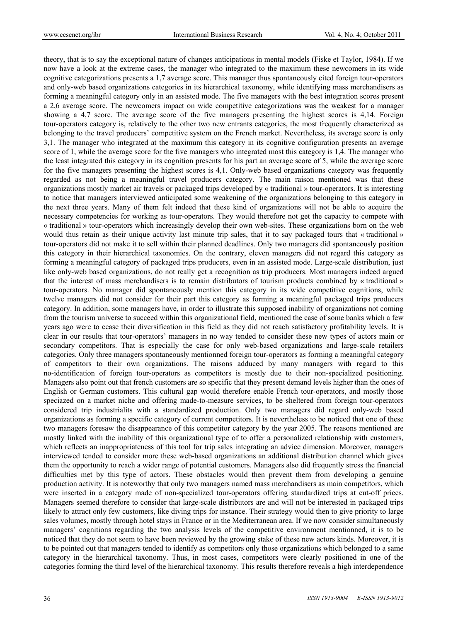theory, that is to say the exceptional nature of changes anticipations in mental models (Fiske et Taylor, 1984). If we now have a look at the extreme cases, the manager who integrated to the maximum these newcomers in its wide cognitive categorizations presents a 1,7 average score. This manager thus spontaneously cited foreign tour-operators and only-web based organizations categories in its hierarchical taxonomy, while identifying mass merchandisers as forming a meaningful category only in an assisted mode. The five managers with the best integration scores present a 2,6 average score. The newcomers impact on wide competitive categorizations was the weakest for a manager showing a 4,7 score. The average score of the five managers presenting the highest scores is 4,14. Foreign tour-operators category is, relatively to the other two new entrants categories, the most frequently characterized as belonging to the travel producers' competitive system on the French market. Nevertheless, its average score is only 3,1. The manager who integrated at the maximum this category in its cognitive configuration presents an average score of 1, while the average score for the five managers who integrated most this category is 1,4. The manager who the least integrated this category in its cognition presents for his part an average score of 5, while the average score for the five managers presenting the highest scores is 4,1. Only-web based organizations category was frequently regarded as not being a meaningful travel producers category. The main raison mentioned was that these organizations mostly market air travels or packaged trips developed by « traditional » tour-operators. It is interesting to notice that managers interviewed anticipated some weakening of the organizations belonging to this category in the next three years. Many of them felt indeed that these kind of organizations will not be able to acquire the necessary competencies for working as tour-operators. They would therefore not get the capacity to compete with « traditional » tour-operators which increasingly develop their own web-sites. These organizations born on the web would thus retain as their unique activity last minute trip sales, that it to say packaged tours that « traditional » tour-operators did not make it to sell within their planned deadlines. Only two managers did spontaneously position this category in their hierarchical taxonomies. On the contrary, eleven managers did not regard this category as forming a meaningful category of packaged trips producers, even in an assisted mode. Large-scale distribution, just like only-web based organizations, do not really get a recognition as trip producers. Most managers indeed argued that the interest of mass merchandisers is to remain distributors of tourism products combined by « traditional » tour-operators. No manager did spontaneously mention this category in its wide competitive cognitions, while twelve managers did not consider for their part this category as forming a meaningful packaged trips producers category. In addition, some managers have, in order to illustrate this supposed inability of organizations not coming from the tourism universe to succeed within this organizational field, mentioned the case of some banks which a few years ago were to cease their diversification in this field as they did not reach satisfactory profitability levels. It is clear in our results that tour-operators' managers in no way tended to consider these new types of actors main or secondary competitors. That is especially the case for only web-based organizations and large-scale retailers categories. Only three managers spontaneously mentionned foreign tour-operators as forming a meaningful category of competitors to their own organizations. The raisons adduced by many managers with regard to this no-identification of foreign tour-operators as competitors is mostly due to their non-specialized positioning. Managers also point out that french customers are so specific that they present demand levels higher than the ones of English or German customers. This cultural gap would therefore enable French tour-operators, and mostly those speciazed on a market niche and offering made-to-measure services, to be sheltered from foreign tour-operators considered trip industrialits with a standardized production. Only two managers did regard only-web based organizations as forming a specific category of current competitors. It is nevertheless to be noticed that one of these two managers foresaw the disappearance of this competitor category by the year 2005. The reasons mentioned are mostly linked with the inability of this organizational type of to offer a personalized relationship with customers, which reflects an inappropriateness of this tool for trip sales integrating an advice dimension. Moreover, managers interviewed tended to consider more these web-based organizations an additional distribution channel which gives them the opportunity to reach a wider range of potential customers. Managers also did frequently stress the financial difficulties met by this type of actors. These obstacles would then prevent them from developing a genuine production activity. It is noteworthy that only two managers named mass merchandisers as main competitors, which were inserted in a category made of non-specialized tour-operators offering standardized trips at cut-off prices. Managers seemed therefore to consider that large-scale distributors are and will not be interested in packaged trips likely to attract only few customers, like diving trips for instance. Their strategy would then to give priority to large sales volumes, mostly through hotel stays in France or in the Mediterranean area. If we now consider simultaneously managers' cognitions regarding the two analysis levels of the competitive environment mentionned, it is to be noticed that they do not seem to have been reviewed by the growing stake of these new actors kinds. Moreover, it is to be pointed out that managers tended to identify as competitors only those organizations which belonged to a same category in the hierarchical taxonomy. Thus, in most cases, competitors were clearly positioned in one of the categories forming the third level of the hierarchical taxonomy. This results therefore reveals a high interdependence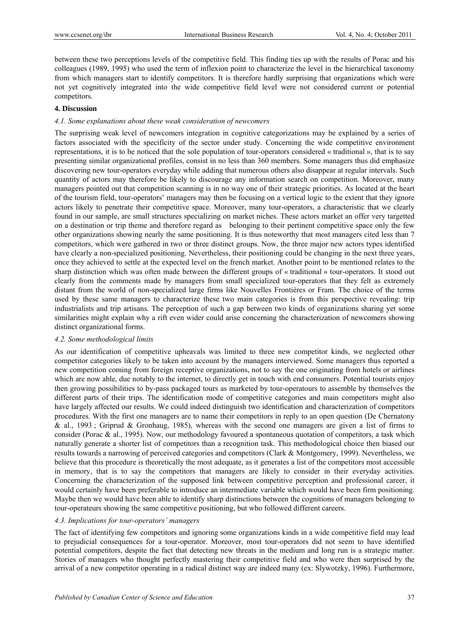between these two perceptions levels of the competitive field. This finding ties up with the results of Porac and his colleagues (1989, 1995) who used the term of inflexion point to characterize the level in the hierarchical taxonomy from which managers start to identify competitors. It is therefore hardly surprising that organizations which were not yet cognitively integrated into the wide competitive field level were not considered current or potential competitors.

# **4. Discussion**

# *4.1. Some explanations about these weak consideration of newcomers*

The surprising weak level of newcomers integration in cognitive categorizations may be explained by a series of factors associated with the specificity of the sector under study. Concerning the wide competitive environment representations, it is to be noticed that the sole population of tour-operators considered « traditional », that is to say presenting similar organizational profiles, consist in no less than 360 members. Some managers thus did emphasize discovering new tour-operators everyday while adding that numerous others also disappear at regular intervals. Such quantity of actors may therefore be likely to discourage any information search on competition. Moreover, many managers pointed out that competition scanning is in no way one of their strategic priorities. As located at the heart of the tourism field, tour-operators' managers may then be focusing on a vertical logic to the extent that they ignore actors likely to penetrate their competitive space. Moreover, many tour-operators, a characteristic that we clearly found in our sample, are small structures specializing on market niches. These actors market an offer very targetted on a destination or trip theme and therefore regard as belonging to their pertinent competitive space only the few other organizations showing nearly the same positioning. It is thus noteworthy that most managers cited less than 7 competitors, which were gathered in two or three distinct groups. Now, the three major new actors types identified have clearly a non-specialized positioning. Nevertheless, their positioning could be changing in the next three years, once they achieved to settle at the expected level on the french market. Another point to be mentioned relates to the sharp distinction which was often made between the different groups of « traditional » tour-operators. It stood out clearly from the comments made by managers from small specialized tour-operators that they felt as extremely distant from the world of non-specialized large firms like Nouvelles Frontières or Fram. The choice of the terms used by these same managers to characterize these two main categories is from this perspective revealing: trip industrialists and trip artisans. The perception of such a gap between two kinds of organizations sharing yet some similarities might explain why a rift even wider could arise concerning the characterization of newcomers showing distinct organizational forms.

## *4.2. Some methodological limits*

As our identification of competitive upheavals was limited to three new competitor kinds, we neglected other competitor categories likely to be taken into account by the managers interviewed. Some managers thus reported a new competition coming from foreign receptive organizations, not to say the one originating from hotels or airlines which are now able, due notably to the internet, to directly get in touch with end consumers. Potential tourists enjoy then growing possibilities to by-pass packaged tours as marketed by tour-operatours to assemble by themselves the different parts of their trips. The identification mode of competitive categories and main competitors might also have largely affected our results. We could indeed distinguish two identification and characterization of competitors procedures. With the first one managers are to name their competitors in reply to an open question (De Chernatony & al., 1993 ; Griprud & Gronhaug, 1985), whereas with the second one managers are given a list of firms to consider (Porac & al., 1995). Now, our methodology favoured a spontaneous quotation of competitors, a task which naturally generate a shorter list of competitors than a recognition task. This methodological choice then biased our results towards a narrowing of perceived categories and competitors (Clark & Montgomery, 1999). Nevertheless, we believe that this procedure is theoretically the most adequate, as it generates a list of the competitors most accessible in memory, that is to say the competitors that managers are likely to consider in their everyday activities. Concerning the characterization of the supposed link between competitive perception and professional career, it would certainly have been preferable to introduce an intermediate variable which would have been firm positioning. Maybe then we would have been able to identify sharp distinctions between the cognitions of managers belonging to tour-operateurs showing the same competitive positioning, but who followed different careers.

## *4.3. Implications for tour-operators' managers*

The fact of identifying few competitors and ignoring some organizations kinds in a wide competitive field may lead to prejudicial consequences for a tour-operator. Moreover, most tour-operators did not seem to have identified potential competitors, despite the fact that detecting new threats in the medium and long run is a strategic matter. Stories of managers who thought perfectly mastering their competitive field and who were then surprised by the arrival of a new competitor operating in a radical distinct way are indeed many (ex: Slywotzky, 1996). Furthermore,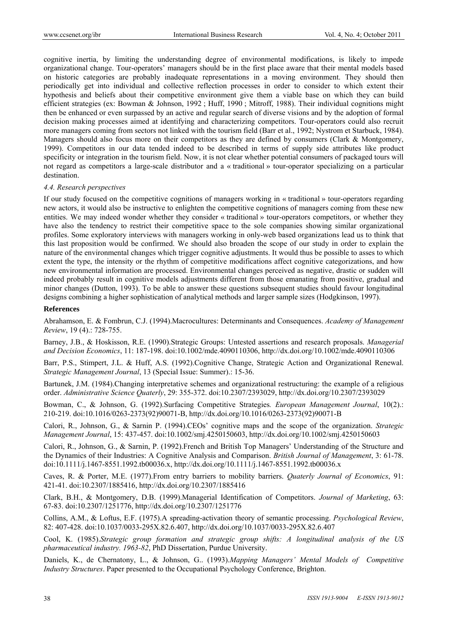cognitive inertia, by limiting the understanding degree of environmental modifications, is likely to impede organizational change. Tour-operators' managers should be in the first place aware that their mental models based on historic categories are probably inadequate representations in a moving environment. They should then periodically get into individual and collective reflection processes in order to consider to which extent their hypothesis and beliefs about their competitive environment give them a viable base on which they can build efficient strategies (ex: Bowman & Johnson, 1992 ; Huff, 1990 ; Mitroff, 1988). Their individual cognitions might then be enhanced or even surpassed by an active and regular search of diverse visions and by the adoption of formal decision making processes aimed at identifying and characterizing competitors. Tour-operators could also recruit more managers coming from sectors not linked with the tourism field (Barr et al., 1992; Nystrom et Starbuck, 1984). Managers should also focus more on their competitors as they are defined by consumers (Clark & Montgomery, 1999). Competitors in our data tended indeed to be described in terms of supply side attributes like product specificity or integration in the tourism field. Now, it is not clear whether potential consumers of packaged tours will not regard as competitors a large-scale distributor and a « traditional » tour-operator specializing on a particular destination.

## *4.4. Research perspectives*

If our study focused on the competitive cognitions of managers working in « traditional » tour-operators regarding new actors, it would also be instructive to enlighten the competitive cognitions of managers coming from these new entities. We may indeed wonder whether they consider « traditional » tour-operators competitors, or whether they have also the tendency to restrict their competitive space to the sole companies showing similar organizational profiles. Some exploratory interviews with managers working in only-web based organizations lead us to think that this last proposition would be confirmed. We should also broaden the scope of our study in order to explain the nature of the environmental changes which trigger cognitive adjustments. It would thus be possible to asses to which extent the type, the intensity or the rhythm of competitive modifications affect cognitive categorizations, and how new environmental information are processed. Environmental changes perceived as negative, drastic or sudden will indeed probably result in cognitive models adjustments different from those emanating from positive, gradual and minor changes (Dutton, 1993). To be able to answer these questions subsequent studies should favour longitudinal designs combining a higher sophistication of analytical methods and larger sample sizes (Hodgkinson, 1997).

#### **References**

Abrahamson, E. & Fombrun, C.J. (1994).Macrocultures: Determinants and Consequences. *Academy of Management Review*, 19 (4).: 728-755.

Barney, J.B., & Hoskisson, R.E. (1990).Strategic Groups: Untested assertions and research proposals. *Managerial and Decision Economics*, 11: 187-198. doi:10.1002/mde.4090110306, http://dx.doi.org/10.1002/mde.4090110306

Barr, P.S., Stimpert, J.L. & Huff, A.S. (1992).Cognitive Change, Strategic Action and Organizational Renewal. *Strategic Management Journal*, 13 (Special Issue: Summer).: 15-36.

Bartunek, J.M. (1984).Changing interpretative schemes and organizational restructuring: the example of a religious order. *Administrative Science Quaterly*, 29: 355-372. doi:10.2307/2393029, http://dx.doi.org/10.2307/2393029

Bowman, C., & Johnson, G. (1992).Surfacing Competitive Strategies*. European Management Journal*, 10(2).: 210-219. doi:10.1016/0263-2373(92)90071-B, http://dx.doi.org/10.1016/0263-2373(92)90071-B

Calori, R., Johnson, G., & Sarnin P. (1994).CEOs' cognitive maps and the scope of the organization. *Strategic Management Journal*, 15: 437-457. doi:10.1002/smj.4250150603, http://dx.doi.org/10.1002/smj.4250150603

Calori, R., Johnson, G., & Sarnin, P. (1992).French and British Top Managers' Understanding of the Structure and the Dynamics of their Industries: A Cognitive Analysis and Comparison. *British Journal of Management*, 3: 61-78. doi:10.1111/j.1467-8551.1992.tb00036.x, http://dx.doi.org/10.1111/j.1467-8551.1992.tb00036.x

Caves, R. & Porter, M.E. (1977).From entry barriers to mobility barriers. *Quaterly Journal of Economics*, 91: 421-41. doi:10.2307/1885416, http://dx.doi.org/10.2307/1885416

Clark, B.H., & Montgomery, D.B. (1999).Managerial Identification of Competitors. *Journal of Marketing*, 63: 67-83. doi:10.2307/1251776, http://dx.doi.org/10.2307/1251776

Collins, A.M., & Loftus, E.F. (1975).A spreading-activation theory of semantic processing. *Psychological Review*, 82: 407-428. doi:10.1037/0033-295X.82.6.407, http://dx.doi.org/10.1037/0033-295X.82.6.407

Cool, K. (1985).*Strategic group formation and strategic group shifts: A longitudinal analysis of the US pharmaceutical industry. 1963-82*, PhD Dissertation, Purdue University.

Daniels, K., de Chernatony, L., & Johnson, G.. (1993).*Mapping Managers' Mental Models of Competitive Industry Structures*. Paper presented to the Occupational Psychology Conference, Brighton.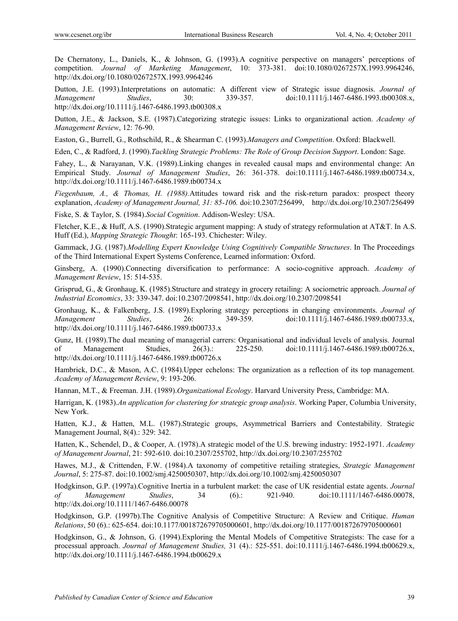De Chernatony, L., Daniels, K., & Johnson, G. (1993).A cognitive perspective on managers' perceptions of competition. *Journal of Marketing Management*, 10: 373-381. doi:10.1080/0267257X.1993.9964246, http://dx.doi.org/10.1080/0267257X.1993.9964246

Dutton, J.E. (1993).Interpretations on automatic: A different view of Strategic issue diagnosis. *Journal of Management Studies*, 30: 339-357. doi:10.1111/j.1467-6486.1993.tb00308.x, http://dx.doi.org/10.1111/j.1467-6486.1993.tb00308.x

Dutton, J.E., & Jackson, S.E. (1987).Categorizing strategic issues: Links to organizational action. *Academy of Management Review*, 12: 76-90.

Easton, G., Burrell, G., Rothschild, R., & Shearman C. (1993).*Managers and Competition*. Oxford: Blackwell.

Eden, C., & Radford, J. (1990).*Tackling Strategic Problems: The Role of Group Decision Support*. London: Sage.

Fahey, L., & Narayanan, V.K. (1989).Linking changes in revealed causal maps and environmental change: An Empirical Study. *Journal of Management Studies*, 26: 361-378. doi:10.1111/j.1467-6486.1989.tb00734.x, http://dx.doi.org/10.1111/j.1467-6486.1989.tb00734.x

*Fiegenbaum, A., & Thomas, H. (1988).*Attitudes toward risk and the risk-return paradox: prospect theory explanation, *Academy of Management Journal, 31: 85-106.* doi:10.2307/256499, http://dx.doi.org/10.2307/256499

Fiske, S. & Taylor, S. (1984).*Social Cognition*. Addison-Wesley: USA.

Fletcher, K.E., & Huff, A.S. (1990).Strategic argument mapping: A study of strategy reformulation at AT&T. In A.S. Huff (Ed.), *Mapping Strategic Thought*: 165-193. Chichester: Wiley.

Gammack, J.G. (1987).*Modelling Expert Knowledge Using Cognitively Compatible Structures*. In The Proceedings of the Third International Expert Systems Conference, Learned information: Oxford.

Ginsberg, A. (1990).Connecting diversification to performance: A socio-cognitive approach. *Academy of Management Review*, 15: 514-535.

Grisprud, G., & Gronhaug, K. (1985).Structure and strategy in grocery retailing: A sociometric approach. *Journal of Industrial Economics*, 33: 339-347. doi:10.2307/2098541, http://dx.doi.org/10.2307/2098541

Gronhaug, K., & Falkenberg, J.S. (1989).Exploring strategy perceptions in changing environments. *Journal of Management Studies*, 26: 349-359. doi:10.1111/j.1467-6486.1989.tb00733.x, http://dx.doi.org/10.1111/j.1467-6486.1989.tb00733.x

Gunz, H. (1989).The dual meaning of managerial carrers: Organisational and individual levels of analysis. Journal of Management Studies, 26(3).: 225-250. doi:10.1111/j.1467-6486.1989.tb00726.x, http://dx.doi.org/10.1111/j.1467-6486.1989.tb00726.x

Hambrick, D.C., & Mason, A.C. (1984). Upper echelons: The organization as a reflection of its top management. *Academy of Management Review*, 9: 193-206.

Hannan, M.T., & Freeman. J.H. (1989).*Organizational Ecology*. Harvard University Press, Cambridge: MA.

Harrigan, K. (1983).*An application for clustering for strategic group analysis*. Working Paper, Columbia University, New York.

Hatten, K.J., & Hatten, M.L. (1987).Strategic groups, Asymmetrical Barriers and Contestability. Strategic Management Journal, 8(4).: 329: 342.

Hatten, K., Schendel, D., & Cooper, A. (1978).A strategic model of the U.S. brewing industry: 1952-1971. *Academy of Management Journal*, 21: 592-610. doi:10.2307/255702, http://dx.doi.org/10.2307/255702

Hawes, M.J., & Crittenden, F.W. (1984).A taxonomy of competitive retailing strategies, *Strategic Management Journal*, 5: 275-87. doi:10.1002/smj.4250050307, http://dx.doi.org/10.1002/smj.4250050307

Hodgkinson, G.P. (1997a).Cognitive Inertia in a turbulent market: the case of UK residential estate agents. *Journal of Management Studies*, 34 (6).: 921-940. doi:10.1111/1467-6486.00078, http://dx.doi.org/10.1111/1467-6486.00078

Hodgkinson, G.P. (1997b).The Cognitive Analysis of Competitive Structure: A Review and Critique. *Human Relations*, 50 (6).: 625-654. doi:10.1177/001872679705000601, http://dx.doi.org/10.1177/001872679705000601

Hodgkinson, G., & Johnson, G. (1994).Exploring the Mental Models of Competitive Strategists: The case for a processual approach. *Journal of Management Studies,* 31 (4).: 525-551. doi:10.1111/j.1467-6486.1994.tb00629.x, http://dx.doi.org/10.1111/j.1467-6486.1994.tb00629.x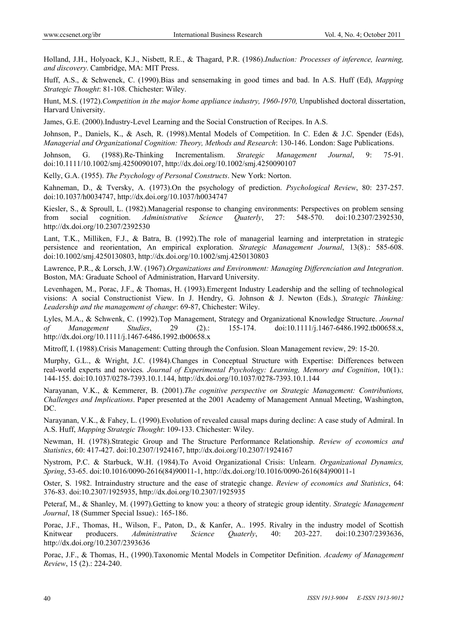Holland, J.H., Holyoack, K.J., Nisbett, R.E., & Thagard, P.R. (1986).*Induction: Processes of inference, learning, and discovery*. Cambridge, MA: MIT Press.

Huff, A.S., & Schwenck, C. (1990).Bias and sensemaking in good times and bad. In A.S. Huff (Ed), *Mapping Strategic Thought*: 81-108. Chichester: Wiley.

Hunt, M.S. (1972).*Competition in the major home appliance industry, 1960-1970,* Unpublished doctoral dissertation, Harvard University.

James, G.E. (2000).Industry-Level Learning and the Social Construction of Recipes. In A.S.

Johnson, P., Daniels, K., & Asch, R. (1998).Mental Models of Competition. In C. Eden & J.C. Spender (Eds), *Managerial and Organizational Cognition: Theory, Methods and Research*: 130-146. London: Sage Publications.

Johnson, G. (1988).Re-Thinking Incrementalism. *Strategic Management Journal*, 9: 75-91. doi:10.1111/10.1002/smj.4250090107, http://dx.doi.org/10.1002/smj.4250090107

Kelly, G.A. (1955). *The Psychology of Personal Constructs*. New York: Norton.

Kahneman, D., & Tversky, A. (1973).On the psychology of prediction. *Psychological Review*, 80: 237-257. doi:10.1037/h0034747, http://dx.doi.org/10.1037/h0034747

Kiesler, S., & Sproull, L. (1982).Managerial response to changing environments: Perspectives on problem sensing from social cognition. *Administrative Science Quaterly*, 27: 548-570. doi:10.2307/2392530, http://dx.doi.org/10.2307/2392530

Lant, T.K., Milliken, F.J., & Batra, B. (1992).The role of managerial learning and interpretation in strategic persistence and reorientation, An empirical exploration. *Strategic Management Journal*, 13(8).: 585-608. doi:10.1002/smj.4250130803, http://dx.doi.org/10.1002/smj.4250130803

Lawrence, P.R., & Lorsch, J.W. (1967).*Organizations and Environment: Managing Differenciation and Integration*. Boston, MA: Graduate School of Administration, Harvard University.

Levenhagen, M., Porac, J.F., & Thomas, H. (1993).Emergent Industry Leadership and the selling of technological visions: A social Constructionist View. In J. Hendry, G. Johnson & J. Newton (Eds.), *Strategic Thinking: Leadership and the management of change*: 69-87, Chichester: Wiley.

Lyles, M.A., & Schwenk, C. (1992).Top Management, Strategy and Organizational Knowledge Structure. *Journal of Management Studies*, 29 (2).: 155-174. doi:10.1111/j.1467-6486.1992.tb00658.x, http://dx.doi.org/10.1111/j.1467-6486.1992.tb00658.x

Mitroff, I. (1988).Crisis Management: Cutting through the Confusion. Sloan Management review, 29: 15-20.

Murphy, G.L., & Wright, J.C. (1984).Changes in Conceptual Structure with Expertise: Differences between real-world experts and novices*. Journal of Experimental Psychology: Learning, Memory and Cognition*, 10(1).: 144-155. doi:10.1037/0278-7393.10.1.144, http://dx.doi.org/10.1037/0278-7393.10.1.144

Narayanan, V.K., & Kemmerer, B. (2001).*The cognitive perspective on Strategic Management: Contributions, Challenges and Implications*. Paper presented at the 2001 Academy of Management Annual Meeting, Washington, D<sub>C</sub>

Narayanan, V.K., & Fahey, L. (1990).Evolution of revealed causal maps during decline: A case study of Admiral. In A.S. Huff, *Mapping Strategic Thought*: 109-133. Chichester: Wiley.

Newman, H. (1978).Strategic Group and The Structure Performance Relationship. *Review of economics and Statistics*, 60: 417-427. doi:10.2307/1924167, http://dx.doi.org/10.2307/1924167

Nystrom, P.C. & Starbuck, W.H. (1984).To Avoid Organizational Crisis: Unlearn. *Organizational Dynamics, Spring*, 53-65. doi:10.1016/0090-2616(84)90011-1, http://dx.doi.org/10.1016/0090-2616(84)90011-1

Oster, S. 1982. Intraindustry structure and the ease of strategic change. *Review of economics and Statistics*, 64: 376-83. doi:10.2307/1925935, http://dx.doi.org/10.2307/1925935

Peteraf, M., & Shanley, M. (1997).Getting to know you: a theory of strategic group identity. *Strategic Management Journal*, 18 (Summer Special Issue).: 165-186.

Porac, J.F., Thomas, H., Wilson, F., Paton, D., & Kanfer, A.. 1995. Rivalry in the industry model of Scottish Knitwear producers. *Administrative Science Quaterly*, 40: 203-227. doi:10.2307/2393636, http://dx.doi.org/10.2307/2393636

Porac, J.F., & Thomas, H., (1990).Taxonomic Mental Models in Competitor Definition. *Academy of Management Review*, 15 (2).: 224-240.